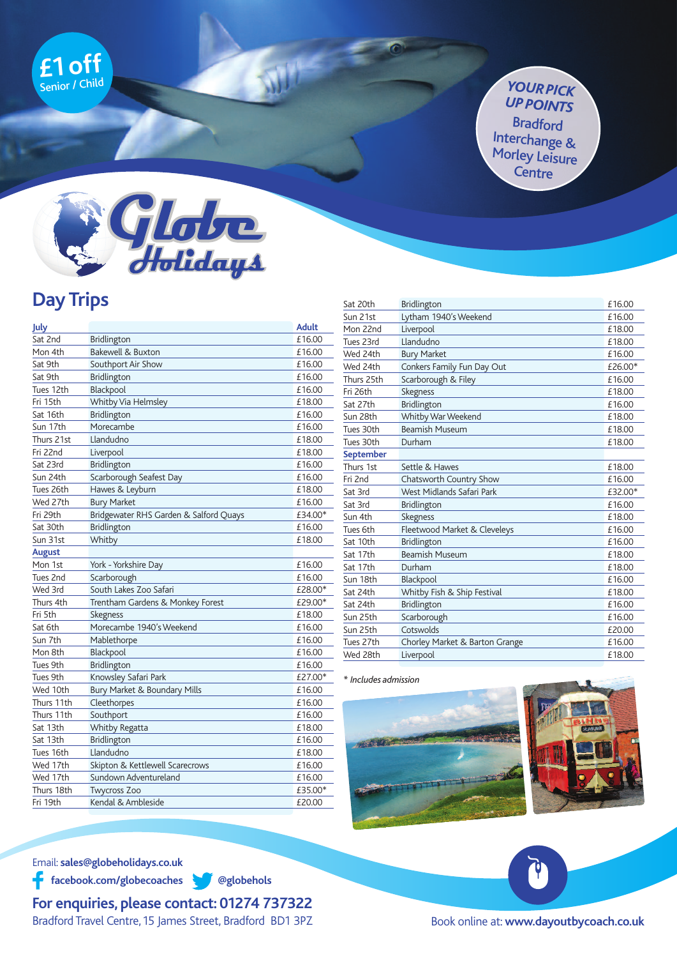

## *YOURPICK UPPOINTS* Bradford Interchange & Morley Leisure **Centre**



## **Day Trips**

| July          |                                        | <b>Adult</b> |
|---------------|----------------------------------------|--------------|
| Sat 2nd       | Bridlington                            | £16.00       |
| Mon 4th       | Bakewell & Buxton                      | £16.00       |
| Sat 9th       | Southport Air Show                     | £16.00       |
| Sat 9th       | Bridlington                            | £16.00       |
| Tues 12th     | Blackpool                              | £16.00       |
| Fri 15th      | Whitby Via Helmsley                    | £18.00       |
| Sat 16th      | Bridlington                            | £16.00       |
| Sun 17th      | Morecambe                              | £16.00       |
| Thurs 21st    | Llandudno                              | £18.00       |
| Fri 22nd      | Liverpool                              | £18.00       |
| Sat 23rd      | Bridlington                            | £16.00       |
| Sun 24th      | Scarborough Seafest Day                | £16.00       |
| Tues 26th     | Hawes & Leyburn                        | £18.00       |
| Wed 27th      | <b>Bury Market</b>                     | £16.00       |
| Fri 29th      | Bridgewater RHS Garden & Salford Quays | £34.00*      |
| Sat 30th      | Bridlington                            | £16.00       |
| Sun 31st      | Whitby                                 | £18.00       |
| <b>August</b> |                                        |              |
| Mon 1st       | York - Yorkshire Day                   | £16.00       |
| Tues 2nd      | Scarborough                            | £16.00       |
| Wed 3rd       | South Lakes Zoo Safari                 | £28.00*      |
| Thurs 4th     | Trentham Gardens & Monkey Forest       | £29.00*      |
| Fri 5th       | Skegness                               | £18.00       |
| Sat 6th       | Morecambe 1940's Weekend               | £16.00       |
| Sun 7th       | Mablethorpe                            | £16.00       |
| Mon 8th       | Blackpool                              | £16.00       |
| Tues 9th      | Bridlington                            | £16.00       |
| Tues 9th      | Knowsley Safari Park                   | £27.00*      |
| Wed 10th      | Bury Market & Boundary Mills           | £16.00       |
| Thurs 11th    | Cleethorpes                            | £16.00       |
| Thurs 11th    | Southport                              | £16.00       |
| Sat 13th      | Whitby Regatta                         | £18.00       |
| Sat 13th      | Bridlington                            | £16.00       |
| Tues 16th     | Llandudno                              | £18.00       |
| Wed 17th      | Skipton & Kettlewell Scarecrows        | £16.00       |
| Wed 17th      | Sundown Adventureland                  | £16.00       |
| Thurs 18th    | <b>Twycross Zoo</b>                    | £35.00*      |
| Fri 19th      | Kendal & Ambleside                     | £20.00       |
|               |                                        |              |

| Sat 20th   | <b>Bridlington</b>             | £16.00  |
|------------|--------------------------------|---------|
| Sun 21st   | Lytham 1940's Weekend          | £16.00  |
| Mon 22nd   | Liverpool                      | £18.00  |
| Tues 23rd  | Llandudno                      | £18.00  |
| Wed 24th   | <b>Bury Market</b>             | £16.00  |
| Wed 24th   | Conkers Family Fun Day Out     | £26.00* |
| Thurs 25th | Scarborough & Filey            | £16.00  |
| Fri 26th   | Skegness                       | £18.00  |
| Sat 27th   | Bridlington                    | £16.00  |
| Sun 28th   | Whitby War Weekend             | £18.00  |
| Tues 30th  | <b>Beamish Museum</b>          | £18.00  |
| Tues 30th  | Durham                         | £18.00  |
| September  |                                |         |
| Thurs 1st  | Settle & Hawes                 | £18.00  |
| Fri 2nd    | Chatsworth Country Show        | £16.00  |
| Sat 3rd    | West Midlands Safari Park      | £32.00* |
| Sat 3rd    | <b>Bridlington</b>             | £16.00  |
| Sun 4th    | Skegness                       | £18.00  |
| Tues 6th   | Fleetwood Market & Cleveleys   | £16.00  |
| Sat 10th   | Bridlington                    | £16.00  |
| Sat 17th   | <b>Beamish Museum</b>          | £18.00  |
| Sat 17th   | Durham                         | £18.00  |
| Sun 18th   | Blackpool                      | £16.00  |
| Sat 24th   | Whitby Fish & Ship Festival    | £18.00  |
| Sat 24th   | Bridlington                    | £16.00  |
| Sun 25th   | Scarborough                    | £16.00  |
| Sun 25th   | Cotswolds                      | £20.00  |
| Tues 27th  | Chorley Market & Barton Grange | £16.00  |
| Wed 28th   | Liverpool                      | £18.00  |







Email: **sales@globeholidays.co.uk**

**facebook.com/globecoaches @globehols**

**For enquiries, please contact: 01274 737322** Bradford Travel Centre,15 James Street, Bradford BD1 3PZ

Book online at: **www.dayoutbycoach.co.uk**

Ŷ